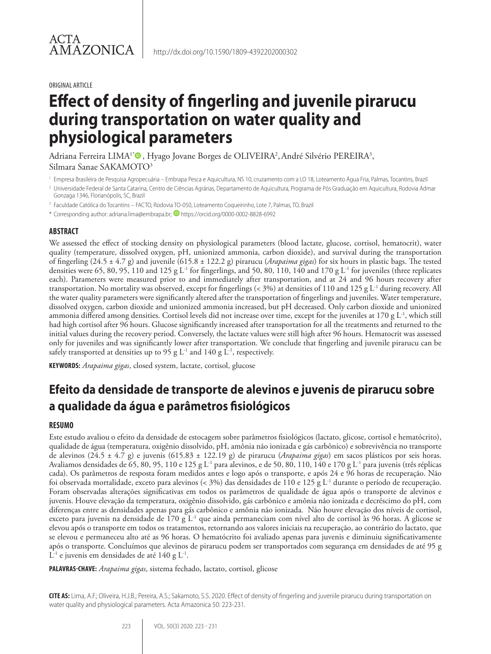#### ORIGINAL ARTICLE

# **Effect of density of fingerling and juvenile pirarucu during transportation on water quality and physiological parameters**

Adriana Ferreira LIMA<sup>1</sup>®, Hyago Jovane Borges de OLIVEIRA², André Silvério PEREIRA<sup>3</sup>, Silmara Sanae SAKAMOTO3

<sup>1</sup> Empresa Brasileira de Pesquisa Agropecuária – Embrapa Pesca e Aquicultura, NS 10, cruzamento com a LO 18, Loteamento Água Fria, Palmas, Tocantins, Brazil

<sup>3</sup> Faculdade Católica do Tocantins – FACTO, Rodovia TO-050, Loteamento Coqueirinho, Lote 7, Palmas, TO, Brazil

\* Corresponding author: adriana.lima@embrapa.br; https://orcid.org/0000-0002-8828-6992

#### **ABSTRACT**

We assessed the effect of stocking density on physiological parameters (blood lactate, glucose, cortisol, hematocrit), water quality (temperature, dissolved oxygen, pH, unionized ammonia, carbon dioxide), and survival during the transportation of fingerling (24.5 ± 4.7 g) and juvenile (615.8 ± 122.2 g) pirarucu (*Arapaima gigas*) for six hours in plastic bags. The tested densities were 65, 80, 95, 110 and 125 g  $L^1$  for fingerlings, and 50, 80, 110, 140 and 170 g  $L^1$  for juveniles (three replicates each). Parameters were measured prior to and immediately after transportation, and at 24 and 96 hours recovery after transportation. No mortality was observed, except for fingerlings  $( $3\%$ )$  at densities of 110 and 125 g L<sup>-1</sup> during recovery. All the water quality parameters were significantly altered after the transportation of fingerlings and juveniles. Water temperature, dissolved oxygen, carbon dioxide and unionized ammonia increased, but pH decreased. Only carbon dioxide and unionized ammonia differed among densities. Cortisol levels did not increase over time, except for the juveniles at 170 g  $L<sup>-1</sup>$ , which still had high cortisol after 96 hours. Glucose significantly increased after transportation for all the treatments and returned to the initial values during the recovery period. Conversely, the lactate values were still high after 96 hours. Hematocrit was assessed only for juveniles and was significantly lower after transportation. We conclude that fingerling and juvenile pirarucu can be safely transported at densities up to 95 g  $L^{-1}$  and 140 g  $L^{-1}$ , respectively.

**KEYWORDS:** *Arapaima gigas*, closed system, lactate, cortisol, glucose

## **Efeito da densidade de transporte de alevinos e juvenis de pirarucu sobre a qualidade da água e parâmetros fisiológicos**

#### **RESUMO**

Este estudo avaliou o efeito da densidade de estocagem sobre parâmetros fisiológicos (lactato, glicose, cortisol e hematócrito), qualidade de água (temperatura, oxigênio dissolvido, pH, amônia não ionizada e gás carbônico) e sobrevivência no transporte de alevinos (24.5 ± 4.7 g) e juvenis (615.83 ± 122.19 g) de pirarucu (*Arapaima gigas*) em sacos plásticos por seis horas. Avaliamos densidades de 65, 80, 95, 110 e 125 g L<sup>-1</sup> para alevinos, e de 50, 80, 110, 140 e 170 g L<sup>-1</sup> para juvenis (três réplicas cada). Os parâmetros de resposta foram medidos antes e logo após o transporte, e após 24 e 96 horas de recuperação. Não foi observada mortalidade, exceto para alevinos (< 3%) das densidades de 110 e 125 g L-1 durante o período de recuperação. Foram observadas alterações significativas em todos os parâmetros de qualidade de água após o transporte de alevinos e juvenis. Houve elevação da temperatura, oxigênio dissolvido, gás carbônico e amônia não ionizada e decréscimo do pH, com diferenças entre as densidades apenas para gás carbônico e amônia não ionizada. Não houve elevação dos níveis de cortisol, exceto para juvenis na densidade de 170 g L<sup>-1</sup> que ainda permaneciam com nível alto de cortisol às 96 horas. A glicose se elevou após o transporte em todos os tratamentos, retornando aos valores iniciais na recuperação, ao contrário do lactato, que se elevou e permaneceu alto até as 96 horas. O hematócrito foi avaliado apenas para juvenis e diminuiu significativamente após o transporte. Concluímos que alevinos de pirarucu podem ser transportados com segurança em densidades de até 95 g  $L^{-1}$  e juvenis em densidades de até 140 g  $L^{-1}$ .

**PALAVRAS-CHAVE:** *Arapaima gigas*, sistema fechado, lactato, cortisol, glicose

**CITE AS:** Lima, A.F.; Oliveira, H.J.B.; Pereira, A.S.; Sakamoto, S.S. 2020. Effect of density of fingerling and juvenile pirarucu during transportation on water quality and physiological parameters. Acta Amazonica 50: 223-231.

<sup>2</sup> Universidade Federal de Santa Catarina, Centro de Ciências Agrárias, Departamento de Aquicultura, Programa de Pós Graduação em Aquicultura, Rodovia Admar Gonzaga 1346, Florianópolis, SC, Brazil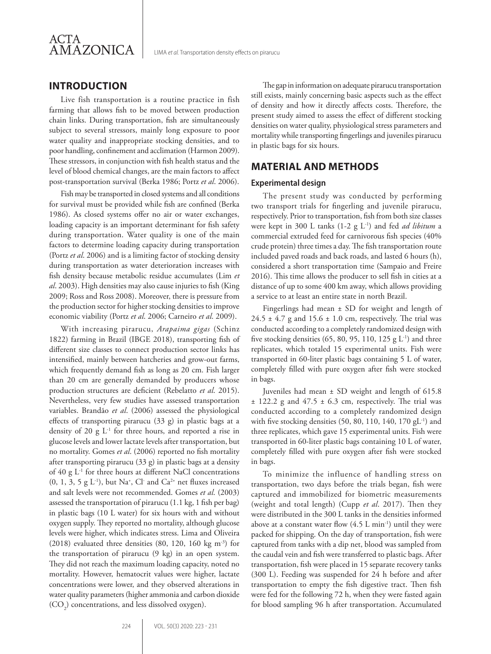

## **INTRODUCTION**

Live fish transportation is a routine practice in fish farming that allows fish to be moved between production chain links. During transportation, fish are simultaneously subject to several stressors, mainly long exposure to poor water quality and inappropriate stocking densities, and to poor handling, confinement and acclimation (Harmon 2009). These stressors, in conjunction with fish health status and the level of blood chemical changes, are the main factors to affect post-transportation survival (Berka 1986; Portz *et al*. 2006).

Fish may be transported in closed systems and all conditions for survival must be provided while fish are confined (Berka 1986). As closed systems offer no air or water exchanges, loading capacity is an important determinant for fish safety during transportation. Water quality is one of the main factors to determine loading capacity during transportation (Portz *et al*. 2006) and is a limiting factor of stocking density during transportation as water deterioration increases with fish density because metabolic residue accumulates (Lim *et al*. 2003). High densities may also cause injuries to fish (King 2009; Ross and Ross 2008). Moreover, there is pressure from the production sector for higher stocking densities to improve economic viability (Portz *et al*. 2006; Carneiro *et al*. 2009).

With increasing pirarucu, *Arapaima gigas* (Schinz 1822) farming in Brazil (IBGE 2018), transporting fish of different size classes to connect production sector links has intensified, mainly between hatcheries and grow-out farms, which frequently demand fish as long as 20 cm. Fish larger than 20 cm are generally demanded by producers whose production structures are deficient (Rebelatto *et al*. 2015). Nevertheless, very few studies have assessed transportation variables. Brandão *et al*. (2006) assessed the physiological effects of transporting pirarucu (33 g) in plastic bags at a density of 20 g  $L^{-1}$  for three hours, and reported a rise in glucose levels and lower lactate levels after transportation, but no mortality. Gomes *et al*. (2006) reported no fish mortality after transporting pirarucu (33 g) in plastic bags at a density of 40 g  $L^{-1}$  for three hours at different NaCl concentrations  $(0, 1, 3, 5 \text{ g } L^1)$ , but Na<sup>+</sup>, Cl<sup>-</sup> and Ca<sup>2+</sup> net fluxes increased and salt levels were not recommended. Gomes *et al*. (2003) assessed the transportation of pirarucu (1.1 kg, 1 fish per bag) in plastic bags (10 L water) for six hours with and without oxygen supply. They reported no mortality, although glucose levels were higher, which indicates stress. Lima and Oliveira (2018) evaluated three densities (80, 120, 160 kg m<sup>-3</sup>) for the transportation of pirarucu (9 kg) in an open system. They did not reach the maximum loading capacity, noted no mortality. However, hematocrit values were higher, lactate concentrations were lower, and they observed alterations in water quality parameters (higher ammonia and carbon dioxide  $(CO_2)$  concentrations, and less dissolved oxygen).

The gap in information on adequate pirarucu transportation still exists, mainly concerning basic aspects such as the effect of density and how it directly affects costs. Therefore, the present study aimed to assess the effect of different stocking densities on water quality, physiological stress parameters and mortality while transporting fingerlings and juveniles pirarucu in plastic bags for six hours.

## **MATERIAL AND METHODS**

#### **Experimental design**

The present study was conducted by performing two transport trials for fingerling and juvenile pirarucu, respectively. Prior to transportation, fish from both size classes were kept in 300 L tanks (1-2 g L-1) and fed *ad libitum* a commercial extruded feed for carnivorous fish species (40% crude protein) three times a day. The fish transportation route included paved roads and back roads, and lasted 6 hours (h), considered a short transportation time (Sampaio and Freire 2016). This time allows the producer to sell fish in cities at a distance of up to some 400 km away, which allows providing a service to at least an entire state in north Brazil.

Fingerlings had mean ± SD for weight and length of  $24.5 \pm 4.7$  g and  $15.6 \pm 1.0$  cm, respectively. The trial was conducted according to a completely randomized design with five stocking densities (65, 80, 95, 110, 125 g  $L^{-1}$ ) and three replicates, which totaled 15 experimental units. Fish were transported in 60-liter plastic bags containing 5 L of water, completely filled with pure oxygen after fish were stocked in bags.

Juveniles had mean ± SD weight and length of 615.8  $\pm$  122.2 g and 47.5  $\pm$  6.3 cm, respectively. The trial was conducted according to a completely randomized design with five stocking densities (50, 80, 110, 140, 170  $gL^{-1}$ ) and three replicates, which gave 15 experimental units. Fish were transported in 60-liter plastic bags containing 10 L of water, completely filled with pure oxygen after fish were stocked in bags.

To minimize the influence of handling stress on transportation, two days before the trials began, fish were captured and immobilized for biometric measurements (weight and total length) (Cupp *et al*. 2017). Then they were distributed in the 300 L tanks in the densities informed above at a constant water flow  $(4.5 \text{ L min}^{-1})$  until they were packed for shipping. On the day of transportation, fish were captured from tanks with a dip net, blood was sampled from the caudal vein and fish were transferred to plastic bags. After transportation, fish were placed in 15 separate recovery tanks (300 L). Feeding was suspended for 24 h before and after transportation to empty the fish digestive tract. Then fish were fed for the following 72 h, when they were fasted again for blood sampling 96 h after transportation. Accumulated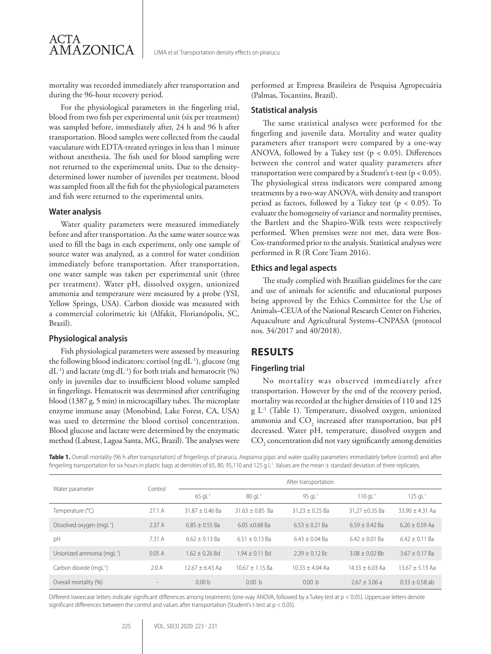mortality was recorded immediately after transportation and during the 96-hour recovery period.

For the physiological parameters in the fingerling trial, blood from two fish per experimental unit (six per treatment) was sampled before, immediately after, 24 h and 96 h after transportation. Blood samples were collected from the caudal vasculature with EDTA-treated syringes in less than 1 minute without anesthesia. The fish used for blood sampling were not returned to the experimental units. Due to the densitydetermined lower number of juveniles per treatment, blood was sampled from all the fish for the physiological parameters and fish were returned to the experimental units.

#### **Water analysis**

ACTA

AMAZONICA

Water quality parameters were measured immediately before and after transportation. As the same water source was used to fill the bags in each experiment, only one sample of source water was analyzed, as a control for water condition immediately before transportation. After transportation, one water sample was taken per experimental unit (three per treatment). Water pH, dissolved oxygen, unionized ammonia and temperature were measured by a probe (YSI, Yellow Springs, USA). Carbon dioxide was measured with a commercial colorimetric kit (Alfakit, Florianópolis, SC, Brazil).

## **Physiological analysis**

Fish physiological parameters were assessed by measuring the following blood indicators: cortisol (ng dL<sup>-1</sup>), glucose (mg  $dL^{-1}$ ) and lactate (mg  $dL^{-1}$ ) for both trials and hematocrit (%) only in juveniles due to insufficient blood volume sampled in fingerlings. Hematocrit was determined after centrifuging blood (1387 g, 5 min) in microcapillary tubes. The microplate enzyme immune assay (Monobind, Lake Forest, CA, USA) was used to determine the blood cortisol concentration. Blood glucose and lactate were determined by the enzymatic method (Labtest, Lagoa Santa, MG, Brazil). The analyses were performed at Empresa Brasileira de Pesquisa Agropecuária (Palmas, Tocantins, Brazil).

#### **Statistical analysis**

The same statistical analyses were performed for the fingerling and juvenile data. Mortality and water quality parameters after transport were compared by a one-way ANOVA, followed by a Tukey test (p < 0.05). Differences between the control and water quality parameters after transportation were compared by a Student's t-test ( $p < 0.05$ ). The physiological stress indicators were compared among treatments by a two-way ANOVA, with density and transport period as factors, followed by a Tukey test (p < 0.05). To evaluate the homogeneity of variance and normality premises, the Bartlett and the Shapiro-Wilk tests were respectively performed. When premises were not met, data were Box-Cox-transformed prior to the analysis. Statistical analyses were performed in R (R Core Team 2016).

#### **Ethics and legal aspects**

The study complied with Brazilian guidelines for the care and use of animals for scientific and educational purposes being approved by the Ethics Committee for the Use of Animals–CEUA of the National Research Center on Fisheries, Aquaculture and Agricultural Systems–CNPASA (protocol nos. 34/2017 and 40/2018).

## **RESULTS**

#### **Fingerling trial**

No mortality was observed immediately after transportation. However by the end of the recovery period, mortality was recorded at the higher densities of 110 and 125 g L-1 (Table 1). Temperature, dissolved oxygen, unionized ammonia and  $CO<sub>2</sub>$  increased after transportation, but pH decreased. Water pH, temperature, dissolved oxygen and  $\mathrm{CO}_2$  concentration did not vary significantly among densities

**Table 1.** Overall mortality (96 h after transportation) of fingerlings of pirarucu, *Arapaima gigas* and water quality parameters immediately before (control) and after fingerling transportation for six hours in plastic bags at densities of 65, 80, 95,110 and 125 g L<sup>-1</sup>. Values are the mean  $\pm$  standard deviation of three replicates.

| Water parameter                        | Control | After transportation |                                  |                       |                       |                        |
|----------------------------------------|---------|----------------------|----------------------------------|-----------------------|-----------------------|------------------------|
|                                        |         | $65$ q $L^{-1}$      | $80 \, \text{q}$ L <sup>-1</sup> | $95$ gL <sup>-1</sup> | $110 \text{ qL}^{-1}$ | $125$ gL <sup>-1</sup> |
| Temperature (°C)                       | 27.1 A  | $31.87 + 0.46$ Ba    | $31.63 + 0.85$ Ba                | $31.23 + 0.25$ Ba     | 31.27 ±0.35 Ba        | $33.90 + 4.31$ Aa      |
| Dissolved oxygen (mgL-1)               | 2.37 A  | $6.85 + 0.55$ Ba     | $6.05 + 0.68$ Ba                 | $6.53 + 0.21$ Ba      | $6.59 + 0.42$ Ba      | $6.26 + 0.59$ Aa       |
| pH                                     | 7.31 A  | $6.62 + 0.13$ Ba     | $6.51 + 0.13$ Ba                 | $6.43 + 0.04$ Ba      | $6.42 + 0.01$ Ba      | $6.42 + 0.11$ Ba       |
| Unionized ammonia (mgL <sup>-1</sup> ) | 0.05A   | $1.62 + 0.26$ Bd     | $1.94 + 0.11$ Bd                 | $2.39 + 0.12$ Bc      | $3.08 + 0.02$ Bb      | $3.67 + 0.17$ Ba       |
| Carbon dioxide (mgL <sup>-1</sup> )    | 2.0A    | $12.67 + 6.43$ Aa    | $10.67 + 1.15$ Ba                | $10.33 + 4.04$ Aa     | $14.33 + 6.03$ Aa     | $13.67 + 5.13$ Aa      |
| Overall mortality (%)                  | $\sim$  | 0.00 <sub>b</sub>    | 0.00 <sub>b</sub>                | 0.00 <sub>b</sub>     | $2.67 + 3.06$ a       | $0.33 + 0.58$ ab       |

Different lowercase letters indicate significant differences among treatments (one-way ANOVA, followed by a Tukey test at p < 0.05). Uppercase letters denote significant differences between the control and values after transportation (Student's t-test at p < 0.05).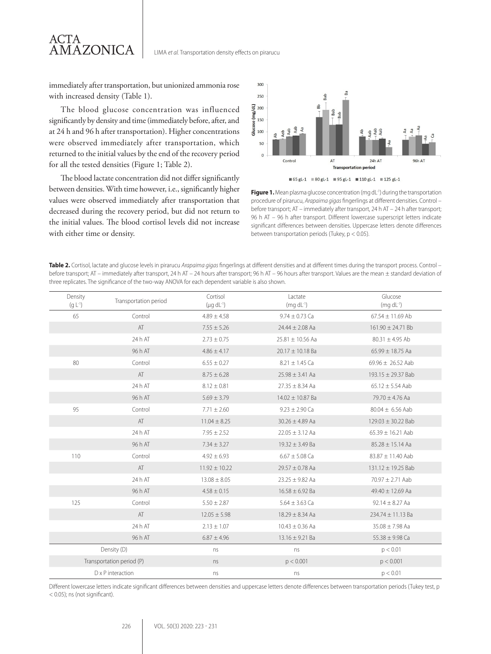#### LIMA *et al.* Transportation density effects on pirarucu

immediately after transportation, but unionized ammonia rose with increased density (Table 1).

ACTA

AMAZONICA

The blood glucose concentration was influenced significantly by density and time (immediately before, after, and at 24 h and 96 h after transportation). Higher concentrations were observed immediately after transportation, which returned to the initial values by the end of the recovery period for all the tested densities (Figure 1; Table 2).

The blood lactate concentration did not differ significantly between densities. With time however, i.e., significantly higher values were observed immediately after transportation that decreased during the recovery period, but did not return to the initial values. The blood cortisol levels did not increase with either time or density.



**Figure 1.** Mean plasma glucose concentration (mg dL<sup>-1</sup>) during the transportation procedure of pirarucu, *Arapaima gigas* fingerlings at different densities. Control – before transport; AT – immediately after transport, 24 h AT – 24 h after transport; 96 h AT – 96 h after transport. Different lowercase superscript letters indicate significant differences between densities. Uppercase letters denote differences between transportation periods (Tukey, p < 0.05).

**Table 2.** Cortisol, lactate and glucose levels in pirarucu *Arapaima gigas* fingerlings at different densities and at different times during the transport process. Control – before transport; AT – immediately after transport, 24 h AT – 24 hours after transport; 96 h AT – 96 hours after transport. Values are the mean ± standard deviation of three replicates. The significance of the two-way ANOVA for each dependent variable is also shown.

| Density<br>$(q L^{-1})$   | Transportation period | Cortisol<br>$(\mu g\,dL^{-1})$ | Lactate<br>$(mg dL-1)$ | Glucose<br>$(mq dL^{-1})$ |
|---------------------------|-----------------------|--------------------------------|------------------------|---------------------------|
| 65                        | Control               | $4.89 \pm 4.58$                | $9.74 \pm 0.73$ Ca     | $67.54 \pm 11.69$ Ab      |
|                           | AT                    | $7.55 \pm 5.26$                | $24.44 \pm 2.08$ Aa    | $161.90 \pm 24.71$ Bb     |
|                           | 24 h AT               | $2.73 \pm 0.75$                | $25.81 \pm 10.56$ Aa   | $80.31 \pm 4.95$ Ab       |
|                           | 96 h AT               | $4.86 \pm 4.17$                | 20.17 ± 10.18 Ba       | $65.99 \pm 18.75$ Aa      |
| 80                        | Control               | $6.55 \pm 0.27$                | $8.21 \pm 1.45$ Ca     | 69.96 $\pm$ 26.52 Aab     |
|                           | AT                    | $8.75 \pm 6.28$                | $25.98 \pm 3.41$ Aa    | 193.15 ± 29.37 Bab        |
|                           | 24 h AT               | $8.12 \pm 0.81$                | $27.35 \pm 8.34$ Aa    | $65.12 \pm 5.54$ Aab      |
|                           | 96 h AT               | $5.69 \pm 3.79$                | $14.02 \pm 10.87$ Ba   | 79.70 ± 4.76 Aa           |
| 95                        | Control               | $7.71 \pm 2.60$                | $9.23 \pm 2.90$ Ca     | $80.04 \pm 6.56$ Aab      |
|                           | AT                    | $11.04 \pm 8.25$               | $30.26 \pm 4.89$ Aa    | $129.03 \pm 30.22$ Bab    |
|                           | 24 h AT               | $7.95 \pm 2.52$                | $22.05 \pm 3.12$ Aa    | $65.39 \pm 16.21$ Aab     |
|                           | 96 h AT               | $7.34 \pm 3.27$                | $19.32 \pm 3.49$ Ba    | $85.28 \pm 15.14$ Aa      |
| 110                       | Control               | $4.92 \pm 6.93$                | $6.67 \pm 5.08$ Ca     | 83.87 ± 11.40 Aab         |
|                           | AT                    | $11.92 \pm 10.22$              | $29.57 \pm 0.78$ Aa    | $131.12 \pm 19.25$ Bab    |
|                           | 24 h AT               | $13.08 \pm 8.05$               | $23.25 \pm 9.82$ Aa    | 70.97 ± 2.71 Aab          |
|                           | 96 h AT               | $4.58 \pm 0.15$                | $16.58 \pm 6.92$ Ba    | 49.40 ± 12.69 Aa          |
| 125                       | Control               | $5.50 \pm 2.87$                | 5.64 $\pm$ 3.63 Ca     | $92.14 \pm 8.27$ Aa       |
|                           | AT                    | $12.05 \pm 5.98$               | $18.29 \pm 8.34$ Aa    | 234.74 ± 11.13 Ba         |
|                           | 24 h AT               | $2.13 \pm 1.07$                | $10.43 \pm 0.36$ Aa    | $35.08 \pm 7.98$ Aa       |
|                           | 96 h AT               | $6.87 \pm 4.96$                | $13.16 \pm 9.21$ Ba    | 55.38 $\pm$ 9.98 Ca       |
| Density (D)               |                       | ns                             | ns                     | p < 0.01                  |
| Transportation period (P) |                       | ns                             | p < 0.001              | p < 0.001                 |
| D x P interaction         |                       | ns                             | ns                     | p < 0.01                  |

Different lowercase letters indicate significant differences between densities and uppercase letters denote differences between transportation periods (Tukey test, p < 0.05); ns (not significant).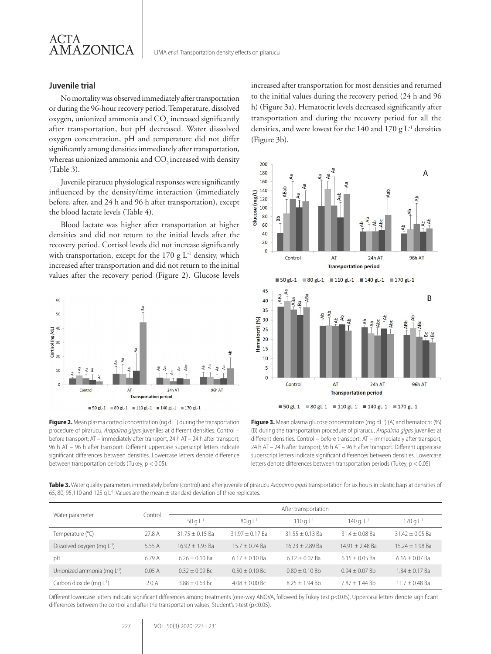

#### **Juvenile trial**

No mortality was observed immediately after transportation or during the 96-hour recovery period. Temperature, dissolved oxygen, unionized ammonia and  $\mathrm{CO}_2$  increased significantly after transportation, but pH decreased. Water dissolved oxygen concentration, pH and temperature did not differ significantly among densities immediately after transportation, whereas unionized ammonia and CO<sub>2</sub> increased with density (Table 3).

Juvenile pirarucu physiological responses were significantly influenced by the density/time interaction (immediately before, after, and 24 h and 96 h after transportation), except the blood lactate levels (Table 4).

Blood lactate was higher after transportation at higher densities and did not return to the initial levels after the recovery period. Cortisol levels did not increase significantly with transportation, except for the  $170 \text{ g L}^{-1}$  density, which increased after transportation and did not return to the initial values after the recovery period (Figure 2). Glucose levels



Figure 2. Mean plasma cortisol concentration (ng dL<sup>-1</sup>) during the transportation procedure of pirarucu, *Arapaima gigas* juveniles at different densities. Control – before transport; AT – immediately after transport, 24 h AT – 24 h after transport; 96 h AT – 96 h after transport. Different uppercase superscript letters indicate

significant differences between densities. Lowercase letters denote difference

between transportation periods (Tukey, p < 0.05).

increased after transportation for most densities and returned to the initial values during the recovery period (24 h and 96 h) (Figure 3a). Hematocrit levels decreased significantly after transportation and during the recovery period for all the densities, and were lowest for the  $140$  and  $170$  g  $L<sup>-1</sup>$  densities (Figure 3b).



Figure 3. Mean plasma glucose concentrations (mg dL<sup>-1</sup>) (A) and hematocrit (%) (B) during the transportation procedure of pirarucu, *Arapaima gigas* juveniles at different densities. Control – before transport; AT – immediately after transport, 24 h AT – 24 h after transport; 96 h AT – 96 h after transport. Different uppercase superscript letters indicate significant differences between densities. Lowercase letters denote differences between transportation periods (Tukey, p < 0.05).

**Table 3.** Water quality parameters immediately before (control) and after juvenile of pirarucu *Arapaima gigas* transportation for six hours in plastic bags at densities of 65, 80, 95,110 and 125 g L<sup>-1</sup>. Values are the mean  $\pm$  standard deviation of three replicates.

| Water parameter                         | Control | After transportation |                   |                   |                   |                    |
|-----------------------------------------|---------|----------------------|-------------------|-------------------|-------------------|--------------------|
|                                         |         | 50 g $L^{-1}$        | $80qL^{-1}$       | 110 g $L^{-1}$    | 140 g $L^{-1}$    | 170 g $L^{-1}$     |
| Temperature (°C)                        | 27.8 A  | $31.75 + 0.15$ Ba    | $31.97 + 0.17$ Ba | $31.55 + 0.13$ Ba | $31.4 + 0.08$ Ba  | $31.42 + 0.05$ Ba  |
| Dissolved oxygen (mg L <sup>-1</sup> )  | 5.55 A  | $1692 + 193$ Ba      | $15.7 + 0.74$ Ba  | $16.23 + 2.89$ Ba | $14.91 + 2.48$ Ba | $15.24 + 1.98$ Ba  |
| pH                                      | 6.79 A  | $6.26 + 0.10$ Ba     | $6.17 + 0.10$ Ba  | $6.12 + 0.07$ Ba  | $6.15 + 0.05$ Ba  | $6.16 \pm 0.07$ Ba |
| Unionized ammonia (mg L <sup>-1</sup> ) | 0.05A   | $0.32 + 0.09$ Bc     | $0.50 + 0.10$ Bc  | $0.80 + 0.10$ Bb  | $0.94 + 0.07$ Bb  | $1.34 + 0.17$ Ba   |
| Carbon dioxide (mg L <sup>-1</sup> )    | 2.0 A   | $3.88 + 0.63$ Bc     | $4.08 + 0.00$ Bc  | $8.25 + 1.94$ Bb  | $787 + 144$ Rh    | $11.7 + 0.48$ Ba   |

Different lowercase letters indicate significant differences among treatments (one-way ANOVA, followed by Tukey test p<0.05). Uppercase letters denote significant differences between the control and after the transportation values, Student's t-test (p<0.05).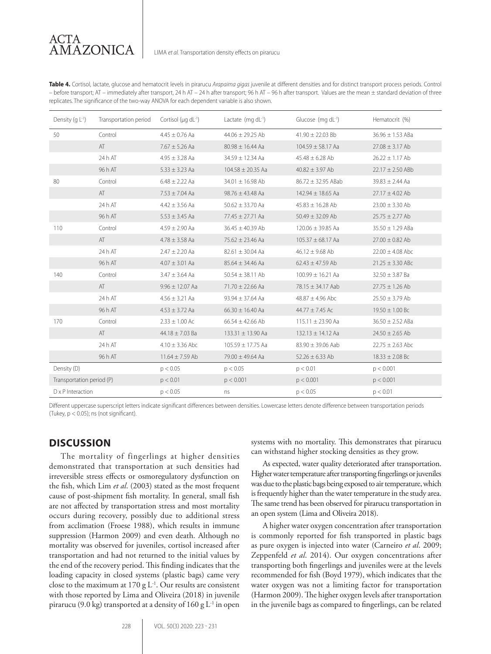| Table 4. Cortisol, lactate, glucose and hematocrit levels in pirarucu Arapaima gigas juvenile at different densities and for distinct transport process periods. Control |
|--------------------------------------------------------------------------------------------------------------------------------------------------------------------------|
| - before transport; AT - immediately after transport, 24 h AT - 24 h after transport; 96 h AT - 96 h after transport. Values are the mean ± standard deviation of three  |
| replicates. The significance of the two-way ANOVA for each dependent variable is also shown.                                                                             |

| Density $(q L^1)$         | Transportation period | Cortisol (µg dL-1)  | Lactate (mg dL <sup>-1</sup> ) | Glucose (mg dL-1)     | Hematocrit (%)       |
|---------------------------|-----------------------|---------------------|--------------------------------|-----------------------|----------------------|
| 50                        | Control               | $4.45 \pm 0.76$ Aa  | $44.06 \pm 29.25$ Ab           | $41.90 \pm 22.03$ Bb  | $36.96 \pm 1.53$ ABa |
|                           | AT                    | $7.67 \pm 5.26$ Aa  | $80.98 \pm 16.44$ Aa           | $104.59 \pm 58.17$ Aa | $27.08 \pm 3.17$ Ab  |
|                           | 24 h AT               | $4.95 \pm 3.28$ Aa  | 34.59 ± 12.34 Aa               | $45.48 \pm 6.28$ Ab   | $26.22 \pm 1.17$ Ab  |
|                           | 96 h AT               | $5.33 \pm 3.23$ Aa  | $104.58 \pm 20.35$ Aa          | $40.82 \pm 3.97$ Ab   | $22.17 \pm 2.50$ ABb |
| 80                        | Control               | $6.48 \pm 2.22$ Aa  | $34.01 \pm 16.98$ Ab           | 86.72 ± 32.95 ABab    | $39.83 \pm 2.44$ Aa  |
|                           | AT                    | $7.53 \pm 7.04$ Aa  | $98.76 \pm 43.48$ Aa           | 142.94 ± 18.65 Aa     | $27.17 \pm 4.02$ Ab  |
|                           | 24 h AT               | $4.42 \pm 3.56$ Aa  | $50.62 \pm 33.70$ Aa           | $45.83 \pm 16.28$ Ab  | $23.00 \pm 3.30$ Ab  |
|                           | 96 h AT               | $5.53 \pm 3.45$ Aa  | 77.45 ± 27.71 Aa               | $50.49 \pm 32.09$ Ab  | $25.75 \pm 2.77$ Ab  |
| 110                       | Control               | $4.59 \pm 2.90$ Aa  | $36.45 \pm 40.39$ Ab           | 120.06 ± 39.85 Aa     | $35.50 \pm 1.29$ ABa |
|                           | AT                    | $4.78 \pm 3.58$ Aa  | $75.62 \pm 23.46$ Aa           | $105.37 \pm 68.17$ Aa | $27.00 \pm 0.82$ Ab  |
|                           | 24 h AT               | $2.47 \pm 2.20$ Aa  | $82.61 \pm 30.04$ Aa           | $46.12 \pm 9.68$ Ab   | $22.00 \pm 4.08$ Abc |
|                           | 96 h AT               | $4.07 \pm 3.01$ Aa  | $85.64 \pm 34.46$ Aa           | $62.43 \pm 47.59$ Ab  | $21.25 \pm 3.30$ ABc |
| 140                       | Control               | $3.47 \pm 3.64$ Aa  | $50.54 \pm 38.11$ Ab           | $100.99 \pm 16.21$ Aa | $32.50 \pm 3.87$ Ba  |
|                           | AT                    | $9.96 \pm 12.07$ Aa | $71.70 \pm 22.66$ Aa           | 78.15 ± 34.17 Aab     | $27.75 \pm 1.26$ Ab  |
|                           | 24 h AT               | $4.56 \pm 3.21$ Aa  | $93.94 \pm 37.64$ Aa           | $48.87 \pm 4.96$ Abc  | $25.50 \pm 3.79$ Ab  |
|                           | 96 h AT               | $4.53 \pm 3.72$ Aa  | $66.30 \pm 16.40$ Aa           | $44.77 \pm 7.45$ Ac   | $19.50 \pm 1.00$ Bc  |
| 170                       | Control               | $2.33 \pm 1.00$ Ac  | $66.54 \pm 42.66$ Ab           | $115.11 \pm 23.90$ Aa | $36.50 \pm 2.52$ ABa |
|                           | AT                    | 44.18 $\pm$ 7.03 Ba | 133.31 ± 13.90 Aa              | $132.13 \pm 14.12$ Aa | $24.50 \pm 2.65$ Ab  |
|                           | 24 h AT               | $4.10 \pm 3.36$ Abc | 105.59 ± 17.75 Aa              | $83.90 \pm 39.06$ Aab | $22.75 \pm 2.63$ Abc |
|                           | 96 h AT               | $11.64 \pm 7.59$ Ab | 79.00 $\pm$ 49.64 Aa           | $52.26 \pm 6.33$ Ab   | $18.33 \pm 2.08$ Bc  |
| Density (D)               |                       | p < 0.05            | p < 0.05                       | p < 0.01              | p < 0.001            |
| Transportation period (P) |                       | p < 0.01            | p < 0.001                      | p < 0.001             | p < 0.001            |
| D x P Interaction         |                       | p < 0.05            | ns                             | p < 0.05              | p < 0.01             |

Different uppercase superscript letters indicate significant differences between densities. Lowercase letters denote difference between transportation periods (Tukey,  $p < 0.05$ ); ns (not significant).

## **DISCUSSION**

The mortality of fingerlings at higher densities demonstrated that transportation at such densities had irreversible stress effects or osmoregulatory dysfunction on the fish, which Lim *et al*. (2003) stated as the most frequent cause of post-shipment fish mortality. In general, small fish are not affected by transportation stress and most mortality occurs during recovery, possibly due to additional stress from acclimation (Froese 1988), which results in immune suppression (Harmon 2009) and even death. Although no mortality was observed for juveniles, cortisol increased after transportation and had not returned to the initial values by the end of the recovery period. This finding indicates that the loading capacity in closed systems (plastic bags) came very close to the maximum at 170 g  $L^{-1}$ . Our results are consistent with those reported by Lima and Oliveira (2018) in juvenile pirarucu (9.0 kg) transported at a density of  $160 \text{ g L}^{-1}$  in open systems with no mortality. This demonstrates that pirarucu can withstand higher stocking densities as they grow.

As expected, water quality deteriorated after transportation. Higher water temperature after transporting fingerlings or juveniles was due to the plastic bags being exposed to air temperature, which is frequently higher than the water temperature in the study area. The same trend has been observed for pirarucu transportation in an open system (Lima and Oliveira 2018).

A higher water oxygen concentration after transportation is commonly reported for fish transported in plastic bags as pure oxygen is injected into water (Carneiro *et al*. 2009; Zeppenfeld *et al*. 2014). Our oxygen concentrations after transporting both fingerlings and juveniles were at the levels recommended for fish (Boyd 1979), which indicates that the water oxygen was not a limiting factor for transportation (Harmon 2009). The higher oxygen levels after transportation in the juvenile bags as compared to fingerlings, can be related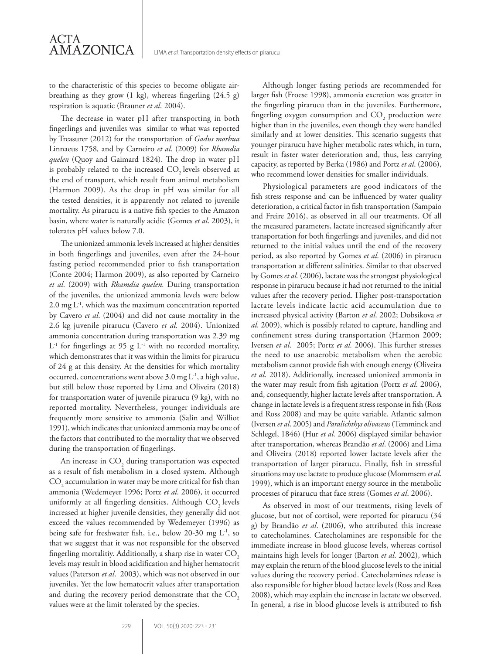to the characteristic of this species to become obligate airbreathing as they grow  $(1 \text{ kg})$ , whereas fingerling  $(24.5 \text{ g})$ respiration is aquatic (Brauner *et al*. 2004).

ACTA

AMAZONICA

The decrease in water pH after transporting in both fingerlings and juveniles was similar to what was reported by Treasurer (2012) for the transportation of *Gadus morhua*  Linnaeus 1758*,* and by Carneiro *et al*. (2009) for *Rhamdia quelen* (Quoy and Gaimard 1824). The drop in water pH is probably related to the increased CO<sub>2</sub> levels observed at the end of transport, which result from animal metabolism (Harmon 2009). As the drop in pH was similar for all the tested densities, it is apparently not related to juvenile mortality. As pirarucu is a native fish species to the Amazon basin, where water is naturally acidic (Gomes *et al*. 2003), it tolerates pH values below 7.0.

The unionized ammonia levels increased at higher densities in both fingerlings and juveniles, even after the 24-hour fasting period recommended prior to fish transportation (Conte 2004; Harmon 2009), as also reported by Carneiro *et al*. (2009) with *Rhamdia quelen.* During transportation of the juveniles, the unionized ammonia levels were below 2.0 mg L-1, which was the maximum concentration reported by Cavero *et al*. (2004) and did not cause mortality in the 2.6 kg juvenile pirarucu (Cavero *et al.* 2004). Unionized ammonia concentration during transportation was 2.39 mg  $L^{-1}$  for fingerlings at 95 g  $L^{-1}$  with no recorded mortality, which demonstrates that it was within the limits for pirarucu of 24 g at this density. At the densities for which mortality occurred, concentrations went above  $3.0 \text{ mg } L^{-1}$ , a high value, but still below those reported by Lima and Oliveira (2018) for transportation water of juvenile pirarucu (9 kg), with no reported mortality. Nevertheless, younger individuals are frequently more sensitive to ammonia (Salin and Williot 1991), which indicates that unionized ammonia may be one of the factors that contributed to the mortality that we observed during the transportation of fingerlings.

An increase in  $\mathrm{CO}_\mathrm{2}$  during transportation was expected as a result of fish metabolism in a closed system. Although  $\mathrm{CO}_2$  accumulation in water may be more critical for fish than ammonia (Wedemeyer 1996; Portz *et al*. 2006), it occurred uniformly at all fingerling densities. Although CO<sub>2</sub> levels increased at higher juvenile densities, they generally did not exceed the values recommended by Wedemeyer (1996) as being safe for freshwater fish, i.e., below 20-30 mg L<sup>-1</sup>, so that we suggest that it was not responsible for the observed fingerling mortalitiy. Additionally, a sharp rise in water  $CO<sub>2</sub>$ levels may result in blood acidification and higher hematocrit values (Paterson *et al*. 2003), which was not observed in our juveniles. Yet the low hematocrit values after transportation and during the recovery period demonstrate that the CO<sub>2</sub> values were at the limit tolerated by the species.

Although longer fasting periods are recommended for larger fish (Froese 1998), ammonia excretion was greater in the fingerling pirarucu than in the juveniles. Furthermore, fingerling oxygen consumption and  $CO_2$  production were higher than in the juveniles, even though they were handled similarly and at lower densities. This scenario suggests that younger pirarucu have higher metabolic rates which, in turn, result in faster water deterioration and, thus, less carrying capacity, as reported by Berka (1986) and Portz *et al*. (2006), who recommend lower densities for smaller individuals.

Physiological parameters are good indicators of the fish stress response and can be influenced by water quality deterioration, a critical factor in fish transportation (Sampaio and Freire 2016), as observed in all our treatments. Of all the measured parameters, lactate increased significantly after transportation for both fingerlings and juveniles, and did not returned to the initial values until the end of the recovery period, as also reported by Gomes *et al*. (2006) in pirarucu transportation at different salinities. Similar to that observed by Gomes *et al.* (2006), lactate was the strongest physiological response in pirarucu because it had not returned to the initial values after the recovery period. Higher post-transportation lactate levels indicate lactic acid accumulation due to increased physical activity (Barton *et al*. 2002; Dobsikova *et al*. 2009), which is possibly related to capture, handling and confinement stress during transportation (Harmon 2009; Iversen *et al*. 2005; Portz *et al.* 2006). This further stresses the need to use anaerobic metabolism when the aerobic metabolism cannot provide fish with enough energy (Oliveira *et al*. 2018). Additionally, increased unionized ammonia in the water may result from fish agitation (Portz *et al*. 2006), and, consequently, higher lactate levels after transportation. A change in lactate levels is a frequent stress response in fish (Ross and Ross 2008) and may be quite variable. Atlantic salmon (Iversen *et al*. 2005) and *Paralichthys olivaceus* (Temminck and Schlegel, 1846) (Hur *et al.* 2006) displayed similar behavior after transportation, whereas Brandão *et al*. (2006) and Lima and Oliveira (2018) reported lower lactate levels after the transportation of larger pirarucu. Finally, fish in stressful situations may use lactate to produce glucose (Mommsem *et al*. 1999), which is an important energy source in the metabolic processes of pirarucu that face stress (Gomes *et al*. 2006).

As observed in most of our treatments, rising levels of glucose, but not of cortisol, were reported for pirarucu (34 g) by Brandão *et al*. (2006), who attributed this increase to catecholamines. Catecholamines are responsible for the immediate increase in blood glucose levels, whereas cortisol maintains high levels for longer (Barton *et al*. 2002), which may explain the return of the blood glucose levels to the initial values during the recovery period. Catecholamines release is also responsible for higher blood lactate levels (Ross and Ross 2008), which may explain the increase in lactate we observed. In general, a rise in blood glucose levels is attributed to fish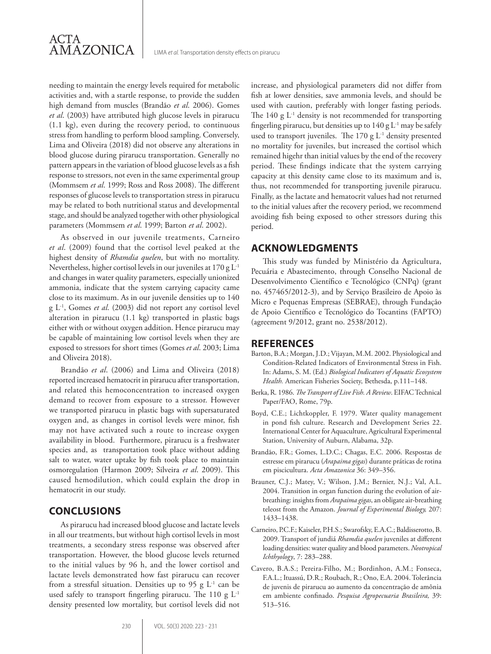

needing to maintain the energy levels required for metabolic activities and, with a startle response, to provide the sudden high demand from muscles (Brandão *et al*. 2006). Gomes *et al*. (2003) have attributed high glucose levels in pirarucu (1.1 kg), even during the recovery period, to continuous stress from handling to perform blood sampling. Conversely, Lima and Oliveira (2018) did not observe any alterations in blood glucose during pirarucu transportation. Generally no pattern appears in the variation of blood glucose levels as a fish response to stressors, not even in the same experimental group (Mommsem *et al*. 1999; Ross and Ross 2008). The different responses of glucose levels to transportation stress in pirarucu may be related to both nutritional status and developmental stage, and should be analyzed together with other physiological parameters (Mommsem *et al*. 1999; Barton *et al*. 2002).

As observed in our juvenile treatments, Carneiro *et al*. (2009) found that the cortisol level peaked at the highest density of *Rhamdia quelen*, but with no mortality. Nevertheless, higher cortisol levels in our juveniles at 170 g L-1 and changes in water quality parameters, especially unionized ammonia, indicate that the system carrying capacity came close to its maximum. As in our juvenile densities up to 140 g L-1, Gomes *et al*. (2003) did not report any cortisol level alteration in pirarucu (1.1 kg) transported in plastic bags either with or without oxygen addition. Hence pirarucu may be capable of maintaining low cortisol levels when they are exposed to stressors for short times (Gomes *et al*. 2003; Lima and Oliveira 2018).

Brandão *et al*. (2006) and Lima and Oliveira (2018) reported increased hematocrit in pirarucu after transportation, and related this hemoconcentration to increased oxygen demand to recover from exposure to a stressor. However we transported pirarucu in plastic bags with supersaturated oxygen and, as changes in cortisol levels were minor, fish may not have activated such a route to increase oxygen availability in blood. Furthermore, pirarucu is a freshwater species and, as transportation took place without adding salt to water, water uptake by fish took place to maintain osmoregulation (Harmon 2009; Silveira *et al*. 2009). This caused hemodilution, which could explain the drop in hematocrit in our study.

## **CONCLUSIONS**

As pirarucu had increased blood glucose and lactate levels in all our treatments, but without high cortisol levels in most treatments, a secondary stress response was observed after transportation. However, the blood glucose levels returned to the initial values by 96 h, and the lower cortisol and lactate levels demonstrated how fast pirarucu can recover from a stressful situation. Densities up to 95 g  $L^{-1}$  can be used safely to transport fingerling pirarucu. The 110 g  $L^{-1}$ density presented low mortality, but cortisol levels did not increase, and physiological parameters did not differ from fish at lower densities, save ammonia levels, and should be used with caution, preferably with longer fasting periods. The  $140 \text{ g L}^{-1}$  density is not recommended for transporting fingerling pirarucu, but densities up to  $140 \text{ g L}$ <sup>1</sup> may be safely used to transport juveniles. The  $170 \text{ g L}^{-1}$  density presented no mortality for juveniles, but increased the cortisol which remained higehr than initial values by the end of the recovery period. These findings indicate that the system carrying capacity at this density came close to its maximum and is, thus, not recommended for transporting juvenile pirarucu. Finally, as the lactate and hematocrit values had not returned to the initial values after the recovery period, we recommend avoiding fish being exposed to other stressors during this period.

## **ACKNOWLEDGMENTS**

This study was funded by Ministério da Agricultura, Pecuária e Abastecimento, through Conselho Nacional de Desenvolvimento Científico e Tecnológico (CNPq) (grant no. 457465/2012-3), and by Serviço Brasileiro de Apoio às Micro e Pequenas Empresas (SEBRAE), through Fundação de Apoio Científico e Tecnológico do Tocantins (FAPTO) (agreement 9/2012, grant no. 2538/2012).

#### **REFERENCES**

- Barton, B.A.; Morgan, J.D.; Vijayan, M.M. 2002. Physiological and Condition-Related Indicators of Environmental Stress in Fish. In: Adams, S. M. (Ed.) *Biological Indicators of Aquatic Ecosystem Health.* American Fisheries Society, Bethesda, p.111–148.
- Berka, R. 1986. *The Transport of Live Fish. A Review*. EIFAC Technical Paper/FAO, Rome, 79p.
- Boyd, C.E.; Lichtkoppler, F. 1979. Water quality management in pond fish culture. Research and Development Series 22. International Center for Aquaculture, Agricultural Experimental Station, University of Auburn, Alabama, 32p.
- Brandão, F.R.; Gomes, L.D.C.; Chagas, E.C. 2006. Respostas de estresse em pirarucu (*Arapaima gigas*) durante práticas de rotina em piscicultura. *Acta Amazonica* 36: 349–356.
- Brauner, C.J.; Matey, V.; Wilson, J.M.; Bernier, N.J.; Val, A.L. 2004. Transition in organ function during the evolution of airbreathing: insights from *Arapaima gigas*, an obligate air-breathing teleost from the Amazon. *Journal of Experimental Biology,* 207: 1433–1438.
- Carneiro, P.C.F.; Kaiseler, P.H.S.; Swarofsky, E.A.C.; Baldisserotto, B. 2009. Transport of jundiá *Rhamdia quelen* juveniles at different loading densities: water quality and blood parameters. *Neotropical Ichthyology*, 7: 283–288.
- Cavero, B.A.S.; Pereira-Filho, M.; Bordinhon, A.M.; Fonseca, F.A.L.; Ituassú, D.R.; Roubach, R.; Ono, E.A. 2004. Tolerância de juvenis de pirarucu ao aumento da concentração de amônia em ambiente confinado. *Pesquisa Agropecuaria Brasileira,* 39: 513–516.